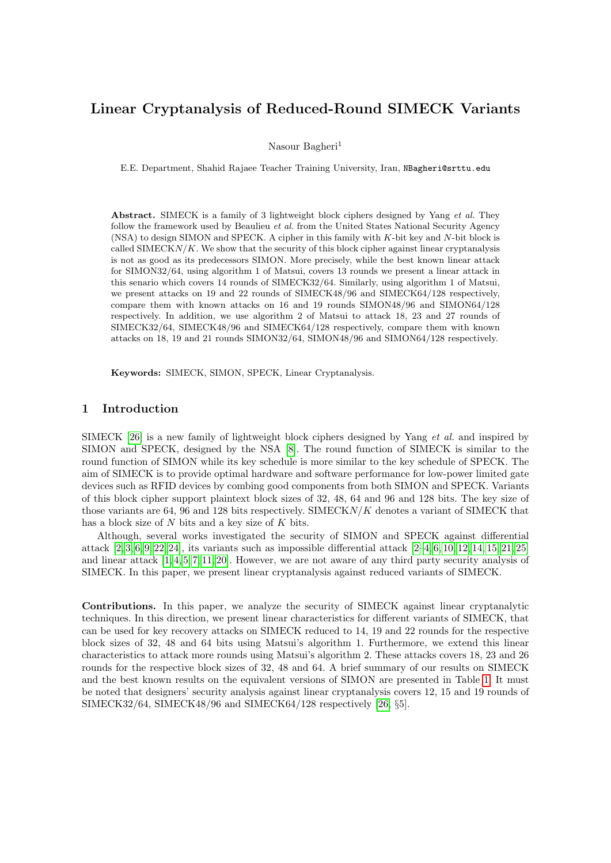# Linear Cryptanalysis of Reduced-Round SIMECK Variants

Nasour Bagheri<sup>1</sup>

E.E. Department, Shahid Rajaee Teacher Training University, Iran, NBagheri@srttu.edu

Abstract. SIMECK is a family of 3 lightweight block ciphers designed by Yang et al. They follow the framework used by Beaulieu et al. from the United States National Security Agency (NSA) to design SIMON and SPECK. A cipher in this family with K-bit key and N-bit block is called  $\text{SIMECK}N/K$ . We show that the security of this block cipher against linear cryptanalysis is not as good as its predecessors SIMON. More precisely, while the best known linear attack for SIMON32/64, using algorithm 1 of Matsui, covers 13 rounds we present a linear attack in this senario which covers 14 rounds of SIMECK32/64. Similarly, using algorithm 1 of Matsui, we present attacks on 19 and 22 rounds of SIMECK48/96 and SIMECK64/128 respectively, compare them with known attacks on 16 and 19 rounds SIMON48/96 and SIMON64/128 respectively. In addition, we use algorithm 2 of Matsui to attack 18, 23 and 27 rounds of SIMECK32/64, SIMECK48/96 and SIMECK64/128 respectively, compare them with known attacks on 18, 19 and 21 rounds SIMON32/64, SIMON48/96 and SIMON64/128 respectively.

Keywords: SIMECK, SIMON, SPECK, Linear Cryptanalysis.

## 1 Introduction

SIMECK [\[26\]](#page-10-0) is a new family of lightweight block ciphers designed by Yang et al. and inspired by SIMON and SPECK, designed by the NSA [\[8\]](#page-9-0). The round function of SIMECK is similar to the round function of SIMON while its key schedule is more similar to the key schedule of SPECK. The aim of SIMECK is to provide optimal hardware and software performance for low-power limited gate devices such as RFID devices by combing good components from both SIMON and SPECK. Variants of this block cipher support plaintext block sizes of 32, 48, 64 and 96 and 128 bits. The key size of those variants are 64, 96 and 128 bits respectively. SIMECKN/K denotes a variant of SIMECK that has a block size of  $N$  bits and a key size of  $K$  bits.

Although, several works investigated the security of SIMON and SPECK against differential attack  $[2, 3, 6, 9, 22, 24]$  $[2, 3, 6, 9, 22, 24]$  $[2, 3, 6, 9, 22, 24]$  $[2, 3, 6, 9, 22, 24]$  $[2, 3, 6, 9, 22, 24]$  $[2, 3, 6, 9, 22, 24]$ , its variants such as impossible differential attack  $[2-4, 6, 10, 12, 14, 15, 21, 25]$  $[2-4, 6, 10, 12, 14, 15, 21, 25]$  $[2-4, 6, 10, 12, 14, 15, 21, 25]$  $[2-4, 6, 10, 12, 14, 15, 21, 25]$  $[2-4, 6, 10, 12, 14, 15, 21, 25]$  $[2-4, 6, 10, 12, 14, 15, 21, 25]$  $[2-4, 6, 10, 12, 14, 15, 21, 25]$  $[2-4, 6, 10, 12, 14, 15, 21, 25]$ and linear attack  $[1, 4, 5, 7, 11, 20]$  $[1, 4, 5, 7, 11, 20]$  $[1, 4, 5, 7, 11, 20]$  $[1, 4, 5, 7, 11, 20]$  $[1, 4, 5, 7, 11, 20]$  $[1, 4, 5, 7, 11, 20]$ . However, we are not aware of any third party security analysis of SIMECK. In this paper, we present linear cryptanalysis against reduced variants of SIMECK.

Contributions. In this paper, we analyze the security of SIMECK against linear cryptanalytic techniques. In this direction, we present linear characteristics for different variants of SIMECK, that can be used for key recovery attacks on SIMECK reduced to 14, 19 and 22 rounds for the respective block sizes of 32, 48 and 64 bits using Matsui's algorithm 1. Furthermore, we extend this linear characteristics to attack more rounds using Matsui's algorithm 2. These attacks covers 18, 23 and 26 rounds for the respective block sizes of 32, 48 and 64. A brief summary of our results on SIMECK and the best known results on the equivalent versions of SIMON are presented in Table [1.](#page-1-0) It must be noted that designers' security analysis against linear cryptanalysis covers 12, 15 and 19 rounds of SIMECK32/64, SIMECK48/96 and SIMECK64/128 respectively [\[26,](#page-10-0) §5].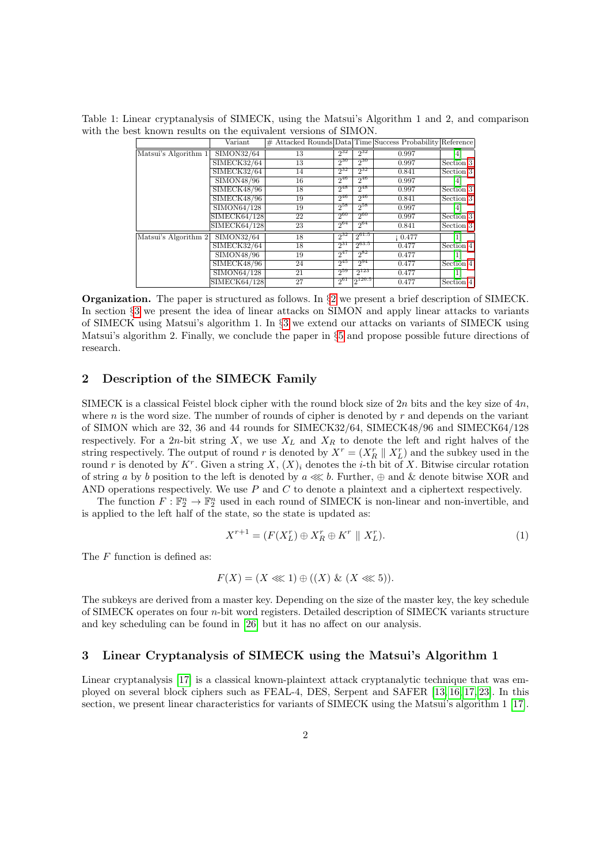<span id="page-1-0"></span>Table 1: Linear cryptanalysis of SIMECK, using the Matsui's Algorithm 1 and 2, and comparison with the best known results on the equivalent versions of SIMON.

|                      | Variant      |    |          |            | # Attacked Rounds Data Time Success Probability Reference |           |
|----------------------|--------------|----|----------|------------|-----------------------------------------------------------|-----------|
| Matsui's Algorithm 1 | SIMON32/64   | 13 | $2^{32}$ | $2^{32}$   | 0.997                                                     | 4         |
|                      | SIMECK32/64  | 13 | $2^{30}$ | $2^{30}$   | 0.997                                                     | Section 3 |
|                      | SIMECK32/64  | 14 | $2^{32}$ | $2^{32}$   | 0.841                                                     | Section 3 |
|                      | SIMON48/96   | 16 | $2^{46}$ | $2^{46}$   | 0.997                                                     | 4         |
|                      | SIMECK48/96  | 18 | $2^{48}$ | $2^{48}$   | 0.997                                                     | Section 3 |
|                      | SIMECK48/96  | 19 | $2^{46}$ | $2^{46}$   | 0.841                                                     | Section 3 |
|                      | SIMON64/128  | 19 | $2^{58}$ | $2^{58}$   | 0.997                                                     | 4         |
|                      | SIMECK64/128 | 22 | 200      | $2^{60}$   | 0.997                                                     | Section 3 |
|                      | SIMECK64/128 | 23 | $2^{64}$ | $2^{64}$   | 0.841                                                     | Section 3 |
| Matsui's Algorithm 2 | SIMON32/64   | 18 | $2^{32}$ | $2^{61.5}$ | 10.477                                                    |           |
|                      | SIMECK32/64  | 18 | $2^{31}$ | $2^{63.5}$ | 0.477                                                     | Section 4 |
|                      | SIMON48/96   | 19 | $2^{47}$ | $2^{82}$   | 0.477                                                     | 1         |
|                      | SIMECK48/96  | 24 | $2^{45}$ | $2^{94}$   | 0.477                                                     | Section 4 |
|                      | SIMON64/128  | 21 | $2^{59}$ | $2^{123}$  | 0.477                                                     |           |
|                      | SIMECK64/128 | 27 | $2^{61}$ | 2120.5     | 0.477                                                     | Section 4 |

Organization. The paper is structured as follows. In §[2](#page-1-2) we present a brief description of SIMECK. In section §[3](#page-1-1) we present the idea of linear attacks on SIMON and apply linear attacks to variants of SIMECK using Matsui's algorithm 1. In §[3](#page-1-1) we extend our attacks on variants of SIMECK using Matsui's algorithm 2. Finally, we conclude the paper in §[5](#page-7-0) and propose possible future directions of research.

#### <span id="page-1-2"></span>2 Description of the SIMECK Family

SIMECK is a classical Feistel block cipher with the round block size of  $2n$  bits and the key size of  $4n$ , where n is the word size. The number of rounds of cipher is denoted by  $r$  and depends on the variant of SIMON which are 32, 36 and 44 rounds for SIMECK32/64, SIMECK48/96 and SIMECK64/128 respectively. For a 2n-bit string X, we use  $X_L$  and  $X_R$  to denote the left and right halves of the string respectively. The output of round r is denoted by  $X^r = (X_R^r \parallel X_L^r)$  and the subkey used in the round r is denoted by  $K^r$ . Given a string  $X, (X)_i$  denotes the *i*-th bit of X. Bitwise circular rotation of string a by b position to the left is denoted by  $a \lll b$ . Further,  $\oplus$  and  $\&$  denote bitwise XOR and AND operations respectively. We use  $P$  and  $C$  to denote a plaintext and a ciphertext respectively.

The function  $F: \mathbb{F}_2^n \to \mathbb{F}_2^n$  used in each round of SIMECK is non-linear and non-invertible, and is applied to the left half of the state, so the state is updated as:

<span id="page-1-3"></span>
$$
X^{r+1} = (F(X_L^r) \oplus X_R^r \oplus K^r \parallel X_L^r). \tag{1}
$$

The  $F$  function is defined as:

$$
F(X) = (X \lll 1) \oplus ((X) \& (X \lll 5)).
$$

The subkeys are derived from a master key. Depending on the size of the master key, the key schedule of SIMECK operates on four n-bit word registers. Detailed description of SIMECK variants structure and key scheduling can be found in [\[26\]](#page-10-0) but it has no affect on our analysis.

#### <span id="page-1-1"></span>3 Linear Cryptanalysis of SIMECK using the Matsui's Algorithm 1

Linear cryptanalysis [\[17\]](#page-9-14) is a classical known-plaintext attack cryptanalytic technique that was employed on several block ciphers such as FEAL-4, DES, Serpent and SAFER [\[13,](#page-9-15) [16,](#page-9-16) [17,](#page-9-14) [23\]](#page-10-4). In this section, we present linear characteristics for variants of SIMECK using the Matsui's algorithm 1 [\[17\]](#page-9-14).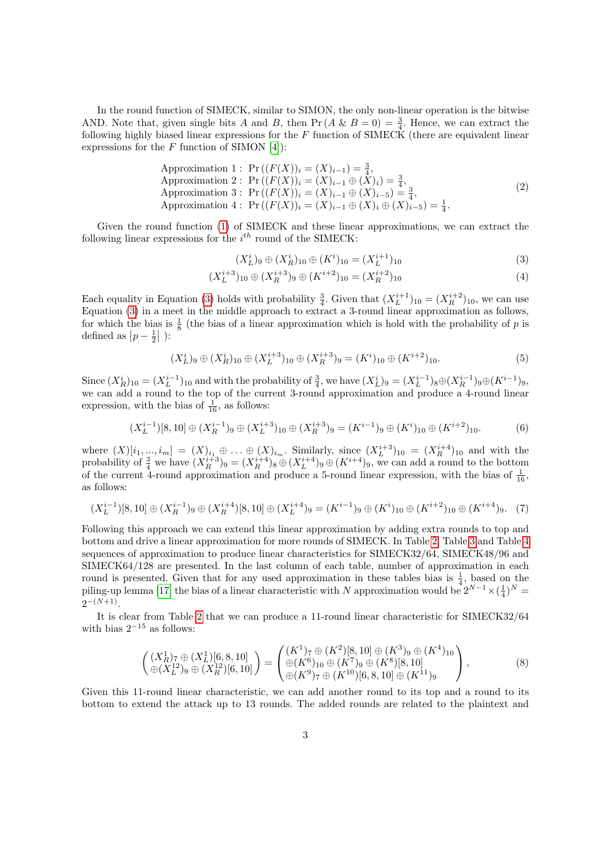In the round function of SIMECK, similar to SIMON, the only non-linear operation is the bitwise AND. Note that, given single bits A and B, then  $Pr(A \& B = 0) = \frac{3}{4}$ . Hence, we can extract the following highly biased linear expressions for the  $F$  function of SIMECK (there are equivalent linear expressions for the  $F$  function of SIMON [\[4\]](#page-9-4)):

Approximation 1: 
$$
\Pr((F(X))_i = (X)_{i-1}) = \frac{3}{4}
$$
,  
Approximation 2:  $\Pr((F(X))_i = (X)_{i-1} \oplus (X)_i) = \frac{3}{4}$ ,  
Approximation 3:  $\Pr((F(X))_i = (X)_{i-1} \oplus (X)_{i-5}) = \frac{3}{4}$ ,  
Approximation 4:  $\Pr((F(X))_i = (X)_{i-1} \oplus (X)_i \oplus (X)_{i-5}) = \frac{1}{4}$ . (2)

Given the round function [\(1\)](#page-1-3) of SIMECK and these linear approximations, we can extract the following linear expressions for the  $i^{th}$  round of the SIMECK:

<span id="page-2-0"></span>
$$
(X_L^i)_9 \oplus (X_R^i)_{10} \oplus (K^i)_{10} = (X_L^{i+1})_{10}
$$
\n
$$
(3)
$$

$$
(X_L^{i+3})_{10} \oplus (X_R^{i+3})_9 \oplus (K^{i+2})_{10} = (X_R^{i+2})_{10}
$$
\n<sup>(4)</sup>

Each equality in Equation [\(3\)](#page-2-0) holds with probability  $\frac{3}{4}$ . Given that  $(X_L^{i+1})_{10} = (X_R^{i+2})_{10}$ , we can use Equation [\(3\)](#page-2-0) in a meet in the middle approach to extract a 3-round linear approximation as follows, for which the bias is  $\frac{1}{8}$  (the bias of a linear approximation which is hold with the probability of p is defined as  $|p-\frac{1}{2}|$  ):

$$
(X_L^i)_9 \oplus (X_R^i)_{10} \oplus (X_L^{i+3})_{10} \oplus (X_R^{i+3})_9 = (K^i)_{10} \oplus (K^{i+2})_{10}.
$$
 (5)

Since  $(X_R^i)_{10} = (X_L^{i-1})_{10}$  and with the probability of  $\frac{3}{4}$ , we have  $(X_L^i)_{9} = (X_L^{i-1})_{8} \oplus (X_R^{i-1})_{9} \oplus (K^{i-1})_{9}$ , we can add a round to the top of the current 3-round approximation and produce a 4-round linear expression, with the bias of  $\frac{1}{16}$ , as follows:

$$
(X_L^{i-1})[8,10] \oplus (X_R^{i-1})_9 \oplus (X_L^{i+3})_{10} \oplus (X_R^{i+3})_9 = (K^{i-1})_9 \oplus (K^i)_{10} \oplus (K^{i+2})_{10}.
$$
 (6)

where  $(X)[i_1, ..., i_m] = (X)_{i_1} \oplus ... \oplus (X)_{i_m}$ . Similarly, since  $(X_L^{i+3})_{10} = (X_R^{i+4})_{10}$  and with the probability of  $\frac{3}{4}$  we have  $(X_R^{i+3})_9 = (X_R^{i+4})_8 \oplus (X_L^{i+4})_9 \oplus (K^{i+4})_9$ , we can add a round to the bottom of the current 4-round approximation and produce a 5-round linear expression, with the bias of  $\frac{1}{16}$ , as follows:

$$
(X_L^{i-1})[8,10] \oplus (X_R^{i-1})_9 \oplus (X_R^{i+4})[8,10] \oplus (X_L^{i+4})_9 = (K^{i-1})_9 \oplus (K^i)_{10} \oplus (K^{i+2})_{10} \oplus (K^{i+4})_9. \tag{7}
$$

Following this approach we can extend this linear approximation by adding extra rounds to top and bottom and drive a linear approximation for more rounds of SIMECK. In Table [2,](#page-4-0) Table [3](#page-4-1) and Table [4](#page-5-1) sequences of approximation to produce linear characteristics for SIMECK32/64, SIMECK48/96 and SIMECK64/128 are presented. In the last column of each table, number of approximation in each round is presented. Given that for any used approximation in these tables bias is  $\frac{1}{4}$ , based on the piling-up lemma [\[17\]](#page-9-14) the bias of a linear characteristic with N approximation would be  $2^{N-1} \times (\frac{1}{4})^N$  $2^{-(N+1)}$ .

<span id="page-2-1"></span>It is clear from Table [2](#page-4-0) that we can produce a 11-round linear characteristic for SIMECK32/64 with bias  $2^{-15}$  as follows:

$$
\begin{pmatrix}\n(X_R^1)_7 \oplus (X_L^1)[6,8,10] \\
\oplus (X_L^{12})_9 \oplus (X_R^{12})[6,10]\n\end{pmatrix} = \begin{pmatrix}\n(K^1)_7 \oplus (K^2)[8,10] \oplus (K^3)_9 \oplus (K^4)_{10} \\
\oplus (K^6)_{10} \oplus (K^7)_9 \oplus (K^8)[8,10] \\
\oplus (K^9)_7 \oplus (K^{10})[6,8,10] \oplus (K^{11})_9\n\end{pmatrix},
$$
\n(8)

Given this 11-round linear characteristic, we can add another round to its top and a round to its bottom to extend the attack up to 13 rounds. The added rounds are related to the plaintext and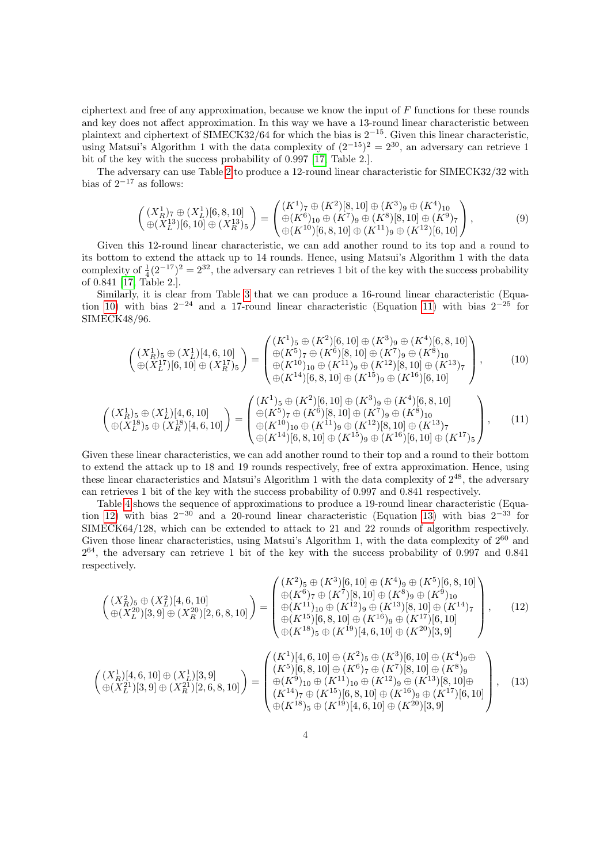ciphertext and free of any approximation, because we know the input of  $F$  functions for these rounds and key does not affect approximation. In this way we have a 13-round linear characteristic between plaintext and ciphertext of SIMECK32/64 for which the bias is 2−15. Given this linear characteristic, using Matsui's Algorithm 1 with the data complexity of  $(2^{-15})^2 = 2^{30}$ , an adversary can retrieve 1 bit of the key with the success probability of 0.997 [\[17,](#page-9-14) Table 2.].

The adversary can use Table [2](#page-4-0) to produce a 12-round linear characteristic for SIMECK32/32 with bias of  $2^{-17}$  as follows:

$$
\begin{pmatrix}\n(X_R^1)_7 \oplus (X_L^1)[6,8,10] \\
\oplus (X_L^{13})[6,10] \oplus (X_R^{13})_5\n\end{pmatrix} = \begin{pmatrix}\n(K^1)_7 \oplus (K^2)[8,10] \oplus (K^3)_9 \oplus (K^4)_{10} \\
\oplus (K^6)_{10} \oplus (K^7)_9 \oplus (K^8)[8,10] \oplus (K^9)_7 \\
\oplus (K^{12})[6,10] \oplus (K^{12})[6,10]\n\end{pmatrix},
$$
\n(9)

Given this 12-round linear characteristic, we can add another round to its top and a round to its bottom to extend the attack up to 14 rounds. Hence, using Matsui's Algorithm 1 with the data complexity of  $\frac{1}{4}(2^{-17})^2 = 2^{32}$ , the adversary can retrieves 1 bit of the key with the success probability of 0.841 [\[17,](#page-9-14) Table 2.].

<span id="page-3-0"></span>Similarly, it is clear from Table [3](#page-4-1) that we can produce a 16-round linear characteristic (Equa-tion [10\)](#page-3-0) with bias  $2^{-24}$  and a 17-round linear characteristic (Equation [11\)](#page-3-1) with bias  $2^{-25}$  for SIMECK48/96.

$$
\begin{pmatrix}\n(X_R^1)_5 \oplus (X_L^1)[4,6,10] \\
\oplus (X_L^{17})[6,10] \oplus (X_R^{17})_5\n\end{pmatrix} = \begin{pmatrix}\n(K^1)_5 \oplus (K^2)[6,10] \oplus (K^3)_9 \oplus (K^4)[6,8,10] \\
\oplus (K^5)_7 \oplus (K^6)[8,10] \oplus (K^7)_9 \oplus (K^8)_{10} \\
\oplus (K^{10})_{10} \oplus (K^{11})_9 \oplus (K^{12})[8,10] \oplus (K^{13})_7 \\
\oplus (K^{14})[6,8,10] \oplus (K^{15})_9 \oplus (K^{16})[6,10]\n\end{pmatrix},
$$
\n(10)

<span id="page-3-1"></span>
$$
\begin{pmatrix}\n(X_R^1)_5 \oplus (X_L^1)[4,6,10] \\
\oplus (X_L^{18})_5 \oplus (X_R^{18})[4,6,10]\n\end{pmatrix} = \begin{pmatrix}\n(K^1)_5 \oplus (K^2)[6,10] \oplus (K^3)_9 \oplus (K^4)[6,8,10] \\
\oplus (K^5)_7 \oplus (K^6)[8,10] \oplus (K^7)_9 \oplus (K^8)_{10} \\
\oplus (K^{10})_{10} \oplus (K^{11})_9 \oplus (K^{12})[8,10] \oplus (K^{13})_7 \\
\oplus (K^{14})[6,8,10] \oplus (K^{15})_9 \oplus (K^{16})[6,10] \oplus (K^{17})_5\n\end{pmatrix},
$$
\n(11)

Given these linear characteristics, we can add another round to their top and a round to their bottom to extend the attack up to 18 and 19 rounds respectively, free of extra approximation. Hence, using these linear characteristics and Matsui's Algorithm 1 with the data complexity of  $2^{48}$ , the adversary can retrieves 1 bit of the key with the success probability of 0.997 and 0.841 respectively.

Table [4](#page-5-1) shows the sequence of approximations to produce a 19-round linear characteristic (Equa-tion [12\)](#page-3-2) with bias  $2^{-30}$  and a 20-round linear characteristic (Equation [13\)](#page-3-3) with bias  $2^{-33}$  for SIMECK64/128, which can be extended to attack to 21 and 22 rounds of algorithm respectively. Given those linear characteristics, using Matsui's Algorithm 1, with the data complexity of  $2^{60}$  and  $2^{64}$ , the adversary can retrieve 1 bit of the key with the success probability of 0.997 and 0.841 respectively.

<span id="page-3-2"></span>
$$
\begin{pmatrix}\n(X_R^2)_5 \oplus (X_L^2)[4,6,10] \\
\oplus (X_L^{20})[3,9] \oplus (X_R^{20})[2,6,8,10]\n\end{pmatrix} = \begin{pmatrix}\n(K^2)_5 \oplus (K^3)[6,10] \oplus (K^4)_9 \oplus (K^5)[6,8,10] \\
\oplus (K^6)_7 \oplus (K^7)[8,10] \oplus (K^8)_9 \oplus (K^9)_{10} \\
\oplus (K^{11})_{10} \oplus (K^{12})_9 \oplus (K^{13})[8,10] \oplus (K^{14})_7 \\
\oplus (K^{15})[6,8,10] \oplus (K^{16})_9 \oplus (K^{17})[6,10] \\
\oplus (K^{18})_5 \oplus (K^{19})[4,6,10] \oplus (K^{20})[3,9]\n\end{pmatrix},
$$
\n(12)

<span id="page-3-3"></span>
$$
\begin{pmatrix}\n(X_R^1)[4,6,10] \oplus (X_L^1)[3,9] \\
\oplus (X_L^{21})[3,9] \oplus (X_R^{21})[2,6,8,10]\n\end{pmatrix} = \begin{pmatrix}\n(K^1)[4,6,10] \oplus (K^2)_5 \oplus (K^3)[6,10] \oplus (K^4)_9 \oplus \\
(K^5)[6,8,10] \oplus (K^6)_7 \oplus (K^7)[8,10] \oplus (K^8)_9 \\
\oplus (K^9)_{10} \oplus (K^{11})_{10} \oplus (K^{12})_9 \oplus (K^{13})[8,10] \oplus \\
(K^{14})_7 \oplus (K^{15})[6,8,10] \oplus (K^{16})_9 \oplus (K^{17})[6,10] \\
\oplus (K^{18})_5 \oplus (K^{19})[4,6,10] \oplus (K^{20})[3,9]\n\end{pmatrix},
$$
\n(13)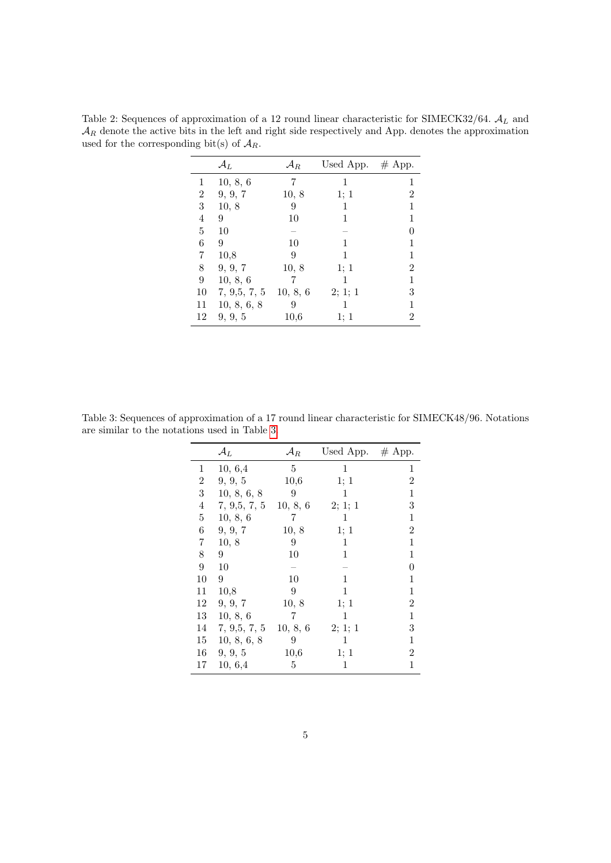|                | $\mathcal{A}_L$ | $\mathcal{A}_R$ | Used App. $#$ App. |                |
|----------------|-----------------|-----------------|--------------------|----------------|
| 1              | 10, 8, 6        | 7               | 1                  | 1              |
| $\overline{2}$ | 9, 9, 7         | 10, 8           | 1: 1               | $\overline{2}$ |
| 3              | 10, 8           | 9               | 1                  | 1              |
| 4              | 9               | 10              | 1                  | 1              |
| 5              | 10              |                 |                    |                |
| 6              | 9               | 10              | 1                  | 1              |
| 7              | 10,8            | 9               | 1                  | 1              |
| 8              | 9, 9, 7         | 10, 8           | 1; 1               | $\overline{2}$ |
| 9              | 10, 8, 6        |                 | 1                  | 1              |
| 10             | 7, 9, 5, 7, 5   | 10, 8, 6        | 2; 1; 1            | 3              |
| 11             | 10, 8, 6, 8     | 9               |                    | 1              |
| 12             | 9, 9, 5         | 10,6            | 1; 1               | 2              |

<span id="page-4-0"></span>Table 2: Sequences of approximation of a 12 round linear characteristic for SIMECK32/64.  $A_L$  and  $A_R$  denote the active bits in the left and right side respectively and App. denotes the approximation used for the corresponding bit(s) of  $A_R$ .

<span id="page-4-1"></span>Table 3: Sequences of approximation of a 17 round linear characteristic for SIMECK48/96. Notations are similar to the notations used in Table [3.](#page-4-1)

|    | $\mathcal{A}_{L}$ | $\mathcal{A}_R$ | Used App. $#$ App. |                |
|----|-------------------|-----------------|--------------------|----------------|
| 1  | 10, 6,4           | 5               | 1                  | 1              |
| 2  | 9, 9, 5           | 10,6            | 1; 1               | $\overline{2}$ |
| 3  | 10, 8, 6, 8       | 9               | 1                  | 1              |
| 4  | 7, 9,5, 7, 5      | 10, 8, 6        | 2; 1; 1            | 3              |
| 5  | 10, 8, 6          | 7               | 1                  | 1              |
| 6  | 9, 9, 7           | 10, 8           | 1; 1               | 2              |
| 7  | 10, 8             | 9               | 1                  | $\mathbf 1$    |
| 8  | 9                 | 10              | $\mathbf{1}$       | 1              |
| 9  | 10                |                 |                    | 0              |
| 10 | 9                 | 10              | 1                  | 1              |
| 11 | 10,8              | 9               | 1                  | 1              |
| 12 | 9, 9, 7           | 10, 8           | 1; 1               | 2              |
| 13 | 10, 8, 6          | 7               | 1                  | 1              |
| 14 | 7, 9,5, 7, 5      | 10, 8, 6        | 2; 1; 1            | 3              |
| 15 | 10, 8, 6, 8       | 9               | 1                  | $\mathbf 1$    |
| 16 | 9, 9, 5           | 10,6            | 1; 1               | $\overline{2}$ |
| 17 | 10, 6,4           | 5               | 1                  | $\mathbf 1$    |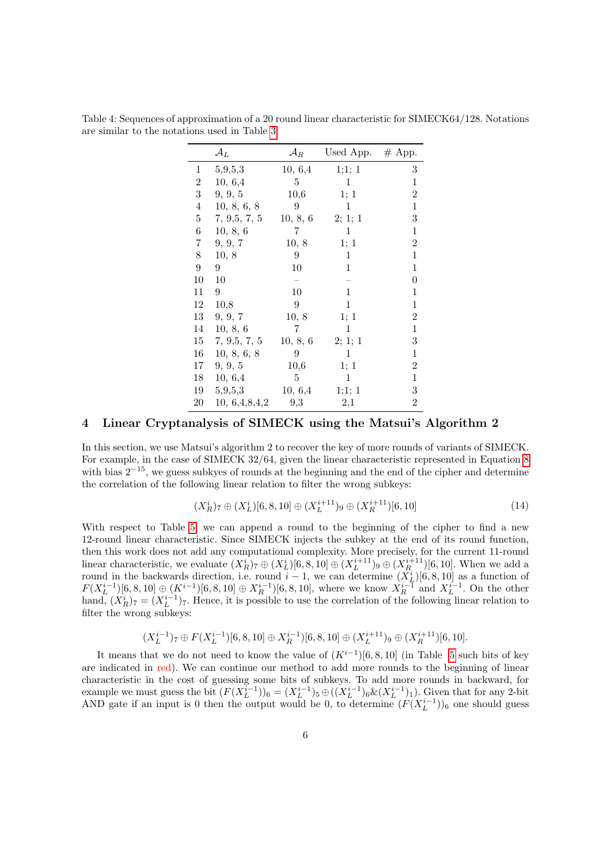|                  | $\mathcal{A}_{L}$ | $\mathcal{A}_R$ | Used App. $#$ App. |                  |
|------------------|-------------------|-----------------|--------------------|------------------|
| 1                | 5,9,5,3           | 10, 6,4         | 1;1;1              | 3                |
| $\overline{2}$   | 10, 6,4           | 5               | 1                  | $\mathbf{1}$     |
| 3                | 9, 9, 5           | 10,6            | 1; 1               | $\overline{2}$   |
| 4                | 10, 8, 6, 8       | 9               | 1                  | $\mathbf{1}$     |
| $\overline{5}$   | 7, 9, 5, 7, 5     | 10, 8, 6        | 2; 1; 1            | $\boldsymbol{3}$ |
| 6                | 10, 8, 6          | 7               | 1                  | 1                |
| 7                | 9, 9, 7           | 10, 8           | 1; 1               | $\overline{2}$   |
| 8                | 10, 8             | 9               | 1                  | 1                |
| $\boldsymbol{9}$ | 9                 | 10              | 1                  | $\mathbf{1}$     |
| 10               | 10                |                 |                    | $\overline{0}$   |
| 11               | 9                 | 10              | 1                  | 1                |
| 12               | 10,8              | 9               | 1                  | $\mathbf{1}$     |
| 13               | 9, 9, 7           | 10, 8           | 1; 1               | $\overline{2}$   |
| 14               | 10, 8, 6          | 7               | 1                  | $\mathbf{1}$     |
| 15               | 7, 9,5, 7, 5      | 10, 8, 6        | 2; 1; 1            | 3                |
| 16               | 10, 8, 6, 8       | 9               | 1                  | $\mathbf{1}$     |
| 17               | 9, 9, 5           | 10,6            | 1; 1               | $\overline{2}$   |
| 18               | 10, 6,4           | 5               | $\mathbf 1$        | $\mathbf{1}$     |
| 19               | 5,9,5,3           | 10, 6,4         | 1;1;1              | $\,3$            |
| 20               | 10, 6,4,8,4,2     | 9,3             | 2,1                | $\overline{2}$   |

<span id="page-5-1"></span>Table 4: Sequences of approximation of a 20 round linear characteristic for SIMECK64/128. Notations are similar to the notations used in Table [3.](#page-4-1)

## <span id="page-5-0"></span>4 Linear Cryptanalysis of SIMECK using the Matsui's Algorithm 2

In this section, we use Matsui's algorithm 2 to recover the key of more rounds of variants of SIMECK. For example, in the case of SIMECK 32/64, given the linear characteristic represented in Equation [8](#page-2-1) with bias  $2^{-15}$ , we guess subkyes of rounds at the beginning and the end of the cipher and determine the correlation of the following linear relation to filter the wrong subkeys:

$$
(X_R^i)_{7} \oplus (X_L^i)[6,8,10] \oplus (X_L^{i+11})_{9} \oplus (X_R^{i+11})[6,10] \tag{14}
$$

With respect to Table [5,](#page-6-0) we can append a round to the beginning of the cipher to find a new 12-round linear characteristic. Since SIMECK injects the subkey at the end of its round function, then this work does not add any computational complexity. More precisely, for the current 11-round linear characteristic, we evaluate  $(X_R^i)_{7} \oplus (X_L^i)[6, 8, 10] \oplus (X_L^{i+11})_9 \oplus (X_R^{i+11})[6, 10]$ . When we add a round in the backwards direction, i.e. round  $i-1$ , we can determine  $(X_L^i)[6, 8, 10]$  as a function of  $F(X_L^{i-1})[6, 8, 10] \oplus (K^{i-1})[6, 8, 10] \oplus X_R^{i-1})[6, 8, 10]$ , where we know  $X_R^{i-1}$  and  $X_L^{i-1}$ . On the other hand,  $(X_R^i)_7 = (X_L^{i-1})_7$ . Hence, it is possible to use the correlation of the following linear relation to filter the wrong subkeys:

$$
(X_L^{i-1})_7 \oplus F(X_L^{i-1})[6,8,10] \oplus X_R^{i-1})[6,8,10] \oplus (X_L^{i+11})_9 \oplus (X_R^{i+11})[6,10].
$$

It means that we do not need to know the value of  $(K^{i-1})[6, 8, 10]$  (in Table [5](#page-6-0) such bits of key are indicated in red). We can continue our method to add more rounds to the beginning of linear characteristic in the cost of guessing some bits of subkeys. To add more rounds in backward, for example we must guess the bit  $(F(X_L^{i-1}))_6 = (X_L^{i-1})_5 \oplus ((X_L^{i-1})_6 \& (X_L^{i-1})_1)$ . Given that for any 2-bit AND gate if an input is 0 then the output would be 0, to determine  $(F(X_L^{i-1}))_6$  one should guess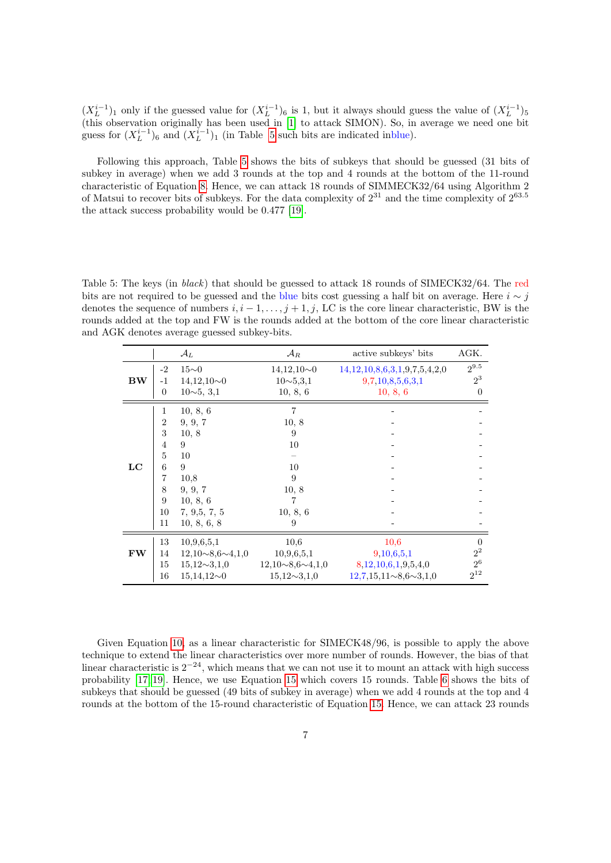$(X_L^{i-1})_1$  only if the guessed value for  $(X_L^{i-1})_6$  is 1, but it always should guess the value of  $(X_L^{i-1})_5$ (this observation originally has been used in [\[1\]](#page-8-1) to attack SIMON). So, in average we need one bit guess for  $(X_L^{i-1})_6$  and  $(X_L^{i-1})_1$  (in Table [5](#page-6-0) such bits are indicated inblue).

Following this approach, Table [5](#page-6-0) shows the bits of subkeys that should be guessed (31 bits of subkey in average) when we add 3 rounds at the top and 4 rounds at the bottom of the 11-round characteristic of Equation [8.](#page-2-1) Hence, we can attack 18 rounds of SIMMECK32/64 using Algorithm 2 of Matsui to recover bits of subkeys. For the data complexity of  $2^{31}$  and the time complexity of  $2^{63.5}$ the attack success probability would be 0.477 [\[19\]](#page-9-17).

<span id="page-6-0"></span>Table 5: The keys (in black) that should be guessed to attack 18 rounds of SIMECK32/64. The red bits are not required to be guessed and the blue bits cost guessing a half bit on average. Here  $i \sim j$ denotes the sequence of numbers  $i, i - 1, \ldots, j + 1, j$ , LC is the core linear characteristic, BW is the rounds added at the top and FW is the rounds added at the bottom of the core linear characteristic and AGK denotes average guessed subkey-bits.

|           |                                                                                 | $\mathcal{A}_L$                                                                                             | $\mathcal{A}_R$                                                         | active subkeys' bits         | AGK.      |
|-----------|---------------------------------------------------------------------------------|-------------------------------------------------------------------------------------------------------------|-------------------------------------------------------------------------|------------------------------|-----------|
| <b>BW</b> | $-2$                                                                            | $15\sim0$                                                                                                   |                                                                         | 14,12,10,8,6,3,1,9,7,5,4,2,0 | $2^{9.5}$ |
|           | $-1$                                                                            | $14,12,10\sim0$                                                                                             | $10\sim 5, 3, 1$                                                        | 9,7,10,8,5,6,3,1             | $2^3$     |
|           | $\Omega$                                                                        | $10\sim 5, 3,1$                                                                                             | 10, 8, 6                                                                | 10, 8, 6                     | $\Omega$  |
| LC        | 1<br>2<br>3<br>$\overline{4}$<br>$\overline{5}$<br>6<br>7<br>8<br>9<br>10<br>11 | 10, 8, 6<br>9, 9, 7<br>10, 8<br>9<br>10<br>9<br>10,8<br>9, 9, 7<br>10, 8, 6<br>7, 9, 5, 7, 5<br>10, 8, 6, 8 | $\overline{7}$<br>10, 8<br>9<br>10<br>10<br>9<br>10, 8<br>10, 8, 6<br>9 |                              |           |
| <b>FW</b> | 13                                                                              | 10,9,6,5,1                                                                                                  | 10,6                                                                    | 10,6                         | $\Omega$  |
|           | 14                                                                              | $12,10\sim8,6\sim4,1,0$                                                                                     | 10,9,6,5,1                                                              | 9,10,6,5,1                   | $2^2\,$   |
|           | 15                                                                              | $15,12 \sim 3,1,0$                                                                                          | $12,10\sim8,6\sim4,1,0$                                                 | 8,12,10,6,1,9,5,4,0          | $2^6$     |
|           | 16                                                                              | $15,14,12\negmedspace\sim\negmedspace 0$                                                                    | $15,12 \sim 3,1,0$                                                      | $12,7,15,11\sim8,6\sim3,1,0$ | $2^{12}$  |

Given Equation [10,](#page-3-0) as a linear characteristic for SIMECK48/96, is possible to apply the above technique to extend the linear characteristics over more number of rounds. However, the bias of that linear characteristic is  $2^{-24}$ , which means that we can not use it to mount an attack with high success probability [\[17,](#page-9-14) [19\]](#page-9-17). Hence, we use Equation [15](#page-7-1) which covers 15 rounds. Table [6](#page-7-2) shows the bits of subkeys that should be guessed (49 bits of subkey in average) when we add 4 rounds at the top and 4 rounds at the bottom of the 15-round characteristic of Equation [15.](#page-7-1) Hence, we can attack 23 rounds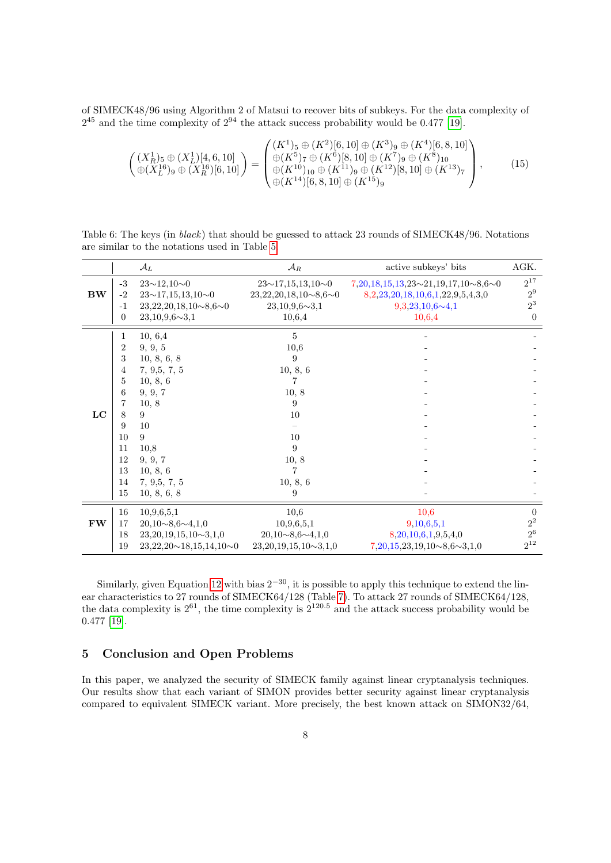<span id="page-7-1"></span>of SIMECK48/96 using Algorithm 2 of Matsui to recover bits of subkeys. For the data complexity of  $2^{45}$  and the time complexity of  $2^{94}$  the attack success probability would be 0.477 [\[19\]](#page-9-17).

$$
\begin{pmatrix}\n(X_R^1)_5 \oplus (X_L^1)[4,6,10] \\
\oplus (X_L^{16})_9 \oplus (X_R^{16})[6,10]\n\end{pmatrix} = \begin{pmatrix}\n(K^1)_5 \oplus (K^2)[6,10] \oplus (K^3)_9 \oplus (K^4)[6,8,10] \\
\oplus (K^5)_7 \oplus (K^6)[8,10] \oplus (K^7)_9 \oplus (K^8)_{10} \\
\oplus (K^{10})_{10} \oplus (K^{11})_9 \oplus (K^{12})[8,10] \oplus (K^{13})_7 \\
\oplus (K^{14})[6,8,10] \oplus (K^{15})_9\n\end{pmatrix},
$$
\n(15)

<span id="page-7-2"></span>Table 6: The keys (in black) that should be guessed to attack 23 rounds of SIMECK48/96. Notations are similar to the notations used in Table [5.](#page-6-0)

|           |                                                                               | $\mathcal{A}_{L}$                                                                                                                                                 | $\mathcal{A}_R$                                                                                                    | active subkeys' bits                                | AGK.             |
|-----------|-------------------------------------------------------------------------------|-------------------------------------------------------------------------------------------------------------------------------------------------------------------|--------------------------------------------------------------------------------------------------------------------|-----------------------------------------------------|------------------|
| <b>BW</b> | $-3$                                                                          | $23 \sim 12, 10 \sim 0$                                                                                                                                           | $23 \sim 17, 15, 13, 10 \sim 0$                                                                                    | $7,20,18,15,13,23 \sim 21,19,17,10 \sim 8,6 \sim 0$ | $2^{17}$         |
|           | $-2$                                                                          | $23 \sim 17, 15, 13, 10 \sim 0$                                                                                                                                   | $23,22,20,18,10\sim8,6\sim0$                                                                                       | 8, 2, 23, 20, 18, 10, 6, 1, 22, 9, 5, 4, 3, 0       | $2^9\,$          |
|           | $-1$                                                                          | $23,22,20,18,10\sim8,6\sim0$                                                                                                                                      | $23,10,9,6 \sim 3,1$                                                                                               | $9,3,23,10,6 \sim 4,1$                              | $2^3$            |
|           | $\overline{0}$                                                                | $23,10,9,6 \sim 3,1$                                                                                                                                              | 10,6,4                                                                                                             | 10,6,4                                              | $\Omega$         |
| LC        | 1<br>2<br>3<br>4<br>5<br>6<br>7<br>8<br>9<br>10<br>11<br>12<br>13<br>14<br>15 | 10, 6,4<br>9, 9, 5<br>10, 8, 6, 8<br>7, 9, 5, 7, 5<br>10, 8, 6<br>9, 9, 7<br>10, 8<br>9<br>10<br>9<br>10,8<br>9, 9, 7<br>10, 8, 6<br>7, 9, 5, 7, 5<br>10, 8, 6, 8 | $\overline{5}$<br>10,6<br>9<br>10, 8, 6<br>10, 8<br>9<br>10<br>10<br>9<br>10, 8<br>$\overline{7}$<br>10, 8, 6<br>9 |                                                     |                  |
| <b>FW</b> | 16                                                                            | 10,9,6,5,1                                                                                                                                                        | 10,6                                                                                                               | 10,6                                                | $\overline{0}$   |
|           | 17                                                                            | $20,10\sim8,6\sim4,1,0$                                                                                                                                           | 10,9,6,5,1                                                                                                         | 9,10,6,5,1                                          | $2^{\mathrm{2}}$ |
|           | 18                                                                            | $23,20,19,15,10\sim3,1,0$                                                                                                                                         | $20,10\sim8,6\sim4,1,0$                                                                                            | 8,20,10,6,1,9,5,4,0                                 | $2^6\,$          |
|           | 19                                                                            | $23,22,20 \sim 18,15,14,10 \sim 0$                                                                                                                                | $23,20,19,15,10\sim3,1,0$                                                                                          | $7,20,15,23,19,10\sim8,6\sim3,1,0$                  | $2^{12}$         |

Similarly, given Equation [12](#page-3-2) with bias  $2^{-30}$ , it is possible to apply this technique to extend the linear characteristics to 27 rounds of SIMECK64/128 (Table [7\)](#page-8-2). To attack 27 rounds of SIMECK64/128, the data complexity is  $2^{61}$ , the time complexity is  $2^{120.5}$  and the attack success probability would be 0.477 [\[19\]](#page-9-17).

## <span id="page-7-0"></span>5 Conclusion and Open Problems

In this paper, we analyzed the security of SIMECK family against linear cryptanalysis techniques. Our results show that each variant of SIMON provides better security against linear cryptanalysis compared to equivalent SIMECK variant. More precisely, the best known attack on SIMON32/64,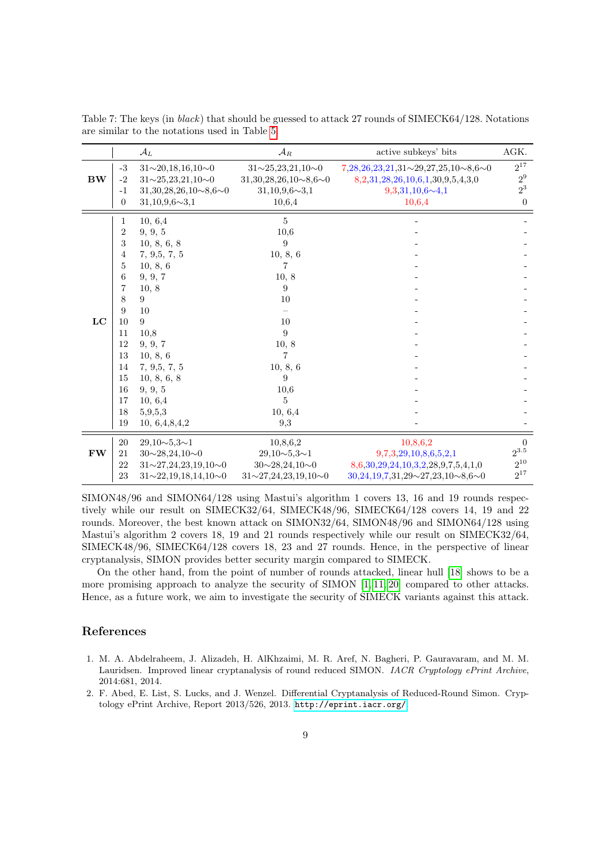|           |                | $\mathcal{A}_L$                     | $\mathcal{A}_R$                     | active subkeys' bits                                | AGK.           |
|-----------|----------------|-------------------------------------|-------------------------------------|-----------------------------------------------------|----------------|
|           | $-3$           | $31 \sim 20, 18, 16, 10 \sim 0$     | $31 \sim 25, 23, 21, 10 \sim 0$     | $7,28,26,23,21,31 \sim 29,27,25,10 \sim 8,6 \sim 0$ | $2^{17}$       |
| <b>BW</b> | $-2$           | $31 \sim 25, 23, 21, 10 \sim 0$     | $31,30,28,26,10\sim8,6\sim0$        | 8, 2, 31, 28, 26, 10, 6, 1, 30, 9, 5, 4, 3, 0       | $2^9\,$        |
|           | $-1$           | $31,30,28,26,10\sim8,6\sim0$        | $31,10,9,6 \sim 3,1$                | $9,3,31,10,6 \sim 4,1$                              | $2^3$          |
|           | $\overline{0}$ | $31,10,9,6 \sim 3,1$                | 10,6,4                              | 10,6,4                                              | $\left($       |
|           | 1              | 10, 6,4                             | 5                                   |                                                     |                |
|           | $\overline{2}$ | 9, 9, 5                             | 10,6                                |                                                     |                |
|           | 3              | 10, 8, 6, 8                         | 9                                   |                                                     |                |
|           | 4              | 7, 9, 5, 7, 5                       | 10, 8, 6                            |                                                     |                |
|           | 5              | 10, 8, 6                            |                                     |                                                     |                |
|           | 6              | 9, 9, 7                             | 10, 8                               |                                                     |                |
|           | 7              | 10, 8                               | 9                                   |                                                     |                |
|           | 8              | 9                                   | 10                                  |                                                     |                |
|           | 9              | 10                                  |                                     |                                                     |                |
| LC        | 10             | 9                                   | 10                                  |                                                     |                |
|           | 11             | 10,8                                | 9                                   |                                                     |                |
|           | 12             | 9, 9, 7                             | 10, 8                               |                                                     |                |
|           | 13             | 10, 8, 6                            | $\overline{7}$                      |                                                     |                |
|           | 14             | 7, 9, 5, 7, 5                       | 10, 8, 6                            |                                                     |                |
|           | 15             | 10, 8, 6, 8                         | 9                                   |                                                     |                |
|           | 16             | 9, 9, 5                             | 10,6                                |                                                     |                |
|           | 17             | 10, 6,4                             | 5                                   |                                                     |                |
|           | 18             | 5,9,5,3                             | 10, 6,4                             |                                                     |                |
|           | 19             | 10, 6,4,8,4,2                       | 9,3                                 |                                                     |                |
|           | 20             | $29,10 \sim 5,3 \sim 1$             | 10,8,6,2                            | 10,8,6,2                                            | $\overline{0}$ |
| <b>FW</b> | 21             | $30 \sim 28, 24, 10 \sim 0$         | $29,10 \sim 5,3 \sim 1$             | 9,7,3,29,10,8,6,5,2,1                               | $2^{3.5}$      |
|           | 22             | $31 \sim 27, 24, 23, 19, 10 \sim 0$ | $30 \sim 28, 24, 10 \sim 0$         | 8,6,30,29,24,10,3,2,28,9,7,5,4,1,0                  | $2^{10}$       |
|           | 23             | $31 \sim 22, 19, 18, 14, 10 \sim 0$ | $31 \sim 27, 24, 23, 19, 10 \sim 0$ | $30,24,19,7,31,29 \sim 27,23,10 \sim 8,6 \sim 0$    | $2^{17}$       |

<span id="page-8-2"></span>Table 7: The keys (in black) that should be guessed to attack 27 rounds of SIMECK64/128. Notations are similar to the notations used in Table [5.](#page-6-0)

SIMON48/96 and SIMON64/128 using Mastui's algorithm 1 covers 13, 16 and 19 rounds respectively while our result on SIMECK32/64, SIMECK48/96, SIMECK64/128 covers 14, 19 and 22 rounds. Moreover, the best known attack on SIMON32/64, SIMON48/96 and SIMON64/128 using Mastui's algorithm 2 covers 18, 19 and 21 rounds respectively while our result on SIMECK32/64, SIMECK48/96, SIMECK64/128 covers 18, 23 and 27 rounds. Hence, in the perspective of linear cryptanalysis, SIMON provides better security margin compared to SIMECK.

On the other hand, from the point of number of rounds attacked, linear hull [\[18\]](#page-9-18) shows to be a more promising approach to analyze the security of SIMON [\[1,](#page-8-1) [11,](#page-9-12) [20\]](#page-9-13) compared to other attacks. Hence, as a future work, we aim to investigate the security of SIMECK variants against this attack.

#### References

- <span id="page-8-1"></span>1. M. A. Abdelraheem, J. Alizadeh, H. AlKhzaimi, M. R. Aref, N. Bagheri, P. Gauravaram, and M. M. Lauridsen. Improved linear cryptanalysis of round reduced SIMON. IACR Cryptology ePrint Archive, 2014:681, 2014.
- <span id="page-8-0"></span>2. F. Abed, E. List, S. Lucks, and J. Wenzel. Differential Cryptanalysis of Reduced-Round Simon. Cryptology ePrint Archive, Report 2013/526, 2013. <http://eprint.iacr.org/>.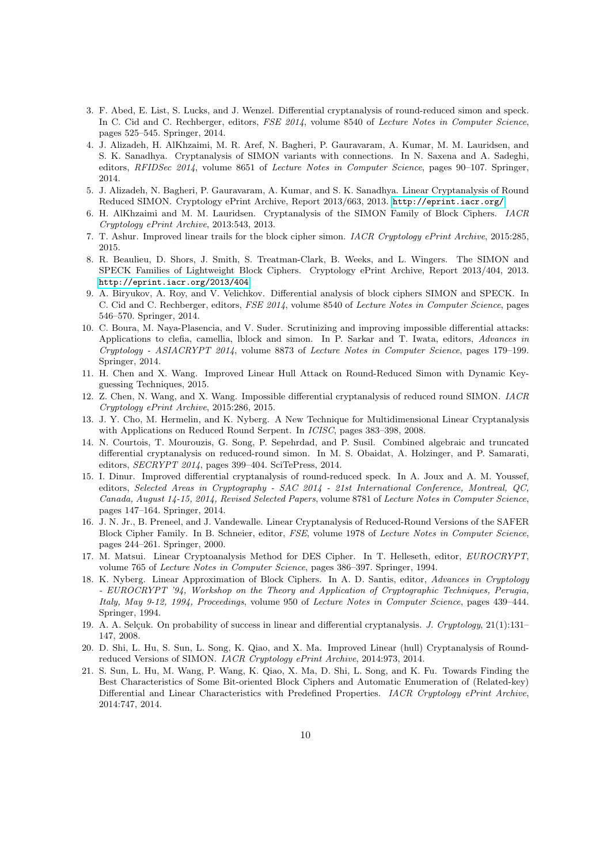- <span id="page-9-1"></span>3. F. Abed, E. List, S. Lucks, and J. Wenzel. Differential cryptanalysis of round-reduced simon and speck. In C. Cid and C. Rechberger, editors, FSE 2014, volume 8540 of Lecture Notes in Computer Science, pages 525–545. Springer, 2014.
- <span id="page-9-4"></span>4. J. Alizadeh, H. AlKhzaimi, M. R. Aref, N. Bagheri, P. Gauravaram, A. Kumar, M. M. Lauridsen, and S. K. Sanadhya. Cryptanalysis of SIMON variants with connections. In N. Saxena and A. Sadeghi, editors, RFIDSec 2014, volume 8651 of Lecture Notes in Computer Science, pages 90–107. Springer, 2014.
- <span id="page-9-10"></span>5. J. Alizadeh, N. Bagheri, P. Gauravaram, A. Kumar, and S. K. Sanadhya. Linear Cryptanalysis of Round Reduced SIMON. Cryptology ePrint Archive, Report 2013/663, 2013. <http://eprint.iacr.org/>.
- <span id="page-9-2"></span>6. H. AlKhzaimi and M. M. Lauridsen. Cryptanalysis of the SIMON Family of Block Ciphers. IACR Cryptology ePrint Archive, 2013:543, 2013.
- <span id="page-9-11"></span>7. T. Ashur. Improved linear trails for the block cipher simon. IACR Cryptology ePrint Archive, 2015:285, 2015.
- <span id="page-9-0"></span>8. R. Beaulieu, D. Shors, J. Smith, S. Treatman-Clark, B. Weeks, and L. Wingers. The SIMON and SPECK Families of Lightweight Block Ciphers. Cryptology ePrint Archive, Report 2013/404, 2013. <http://eprint.iacr.org/2013/404>.
- <span id="page-9-3"></span>9. A. Biryukov, A. Roy, and V. Velichkov. Differential analysis of block ciphers SIMON and SPECK. In C. Cid and C. Rechberger, editors, FSE 2014, volume 8540 of Lecture Notes in Computer Science, pages 546–570. Springer, 2014.
- <span id="page-9-5"></span>10. C. Boura, M. Naya-Plasencia, and V. Suder. Scrutinizing and improving impossible differential attacks: Applications to clefia, camellia, lblock and simon. In P. Sarkar and T. Iwata, editors, Advances in Cryptology - ASIACRYPT 2014, volume 8873 of Lecture Notes in Computer Science, pages 179–199. Springer, 2014.
- <span id="page-9-12"></span>11. H. Chen and X. Wang. Improved Linear Hull Attack on Round-Reduced Simon with Dynamic Keyguessing Techniques, 2015.
- <span id="page-9-6"></span>12. Z. Chen, N. Wang, and X. Wang. Impossible differential cryptanalysis of reduced round SIMON. IACR Cryptology ePrint Archive, 2015:286, 2015.
- <span id="page-9-15"></span>13. J. Y. Cho, M. Hermelin, and K. Nyberg. A New Technique for Multidimensional Linear Cryptanalysis with Applications on Reduced Round Serpent. In *ICISC*, pages 383-398, 2008.
- <span id="page-9-7"></span>14. N. Courtois, T. Mourouzis, G. Song, P. Sepehrdad, and P. Susil. Combined algebraic and truncated differential cryptanalysis on reduced-round simon. In M. S. Obaidat, A. Holzinger, and P. Samarati, editors, SECRYPT 2014, pages 399–404. SciTePress, 2014.
- <span id="page-9-8"></span>15. I. Dinur. Improved differential cryptanalysis of round-reduced speck. In A. Joux and A. M. Youssef, editors, Selected Areas in Cryptography - SAC 2014 - 21st International Conference, Montreal, QC, Canada, August 14-15, 2014, Revised Selected Papers, volume 8781 of Lecture Notes in Computer Science, pages 147–164. Springer, 2014.
- <span id="page-9-16"></span>16. J. N. Jr., B. Preneel, and J. Vandewalle. Linear Cryptanalysis of Reduced-Round Versions of the SAFER Block Cipher Family. In B. Schneier, editor, FSE, volume 1978 of Lecture Notes in Computer Science, pages 244–261. Springer, 2000.
- <span id="page-9-14"></span>17. M. Matsui. Linear Cryptoanalysis Method for DES Cipher. In T. Helleseth, editor, EUROCRYPT, volume 765 of Lecture Notes in Computer Science, pages 386–397. Springer, 1994.
- <span id="page-9-18"></span>18. K. Nyberg. Linear Approximation of Block Ciphers. In A. D. Santis, editor, Advances in Cryptology - EUROCRYPT '94, Workshop on the Theory and Application of Cryptographic Techniques, Perugia, Italy, May 9-12, 1994, Proceedings, volume 950 of Lecture Notes in Computer Science, pages 439–444. Springer, 1994.
- <span id="page-9-17"></span>19. A. A. Selçuk. On probability of success in linear and differential cryptanalysis. J. Cryptology,  $21(1):131-$ 147, 2008.
- <span id="page-9-13"></span>20. D. Shi, L. Hu, S. Sun, L. Song, K. Qiao, and X. Ma. Improved Linear (hull) Cryptanalysis of Roundreduced Versions of SIMON. IACR Cryptology ePrint Archive, 2014:973, 2014.
- <span id="page-9-9"></span>21. S. Sun, L. Hu, M. Wang, P. Wang, K. Qiao, X. Ma, D. Shi, L. Song, and K. Fu. Towards Finding the Best Characteristics of Some Bit-oriented Block Ciphers and Automatic Enumeration of (Related-key) Differential and Linear Characteristics with Predefined Properties. IACR Cryptology ePrint Archive, 2014:747, 2014.